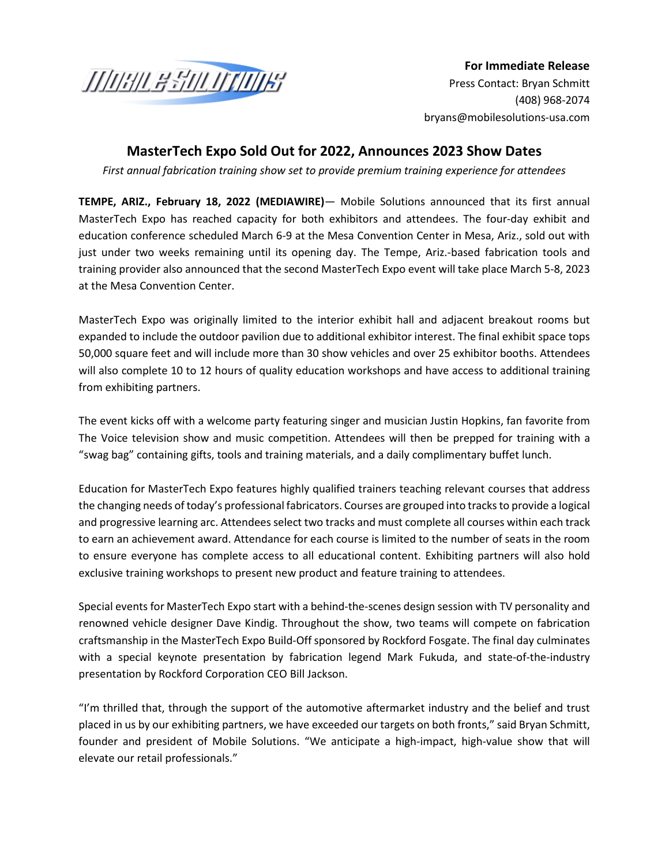

**For Immediate Release** Press Contact: Bryan Schmitt [\(408\) 9](mailto:jvarick@brandmotion.com)68-2074 bryans@mobilesolutions-usa.com

## **MasterTech Expo Sold Out for 2022, Announces 2023 Show Dates**

*First annual fabrication training show set to provide premium training experience for attendees*

**TEMPE, ARIZ., February 18, 2022 (MEDIAWIRE)**— Mobile Solutions announced that its first annual MasterTech Expo has reached capacity for both exhibitors and attendees. The four-day exhibit and education conference scheduled March 6-9 at the Mesa Convention Center in Mesa, Ariz., sold out with just under two weeks remaining until its opening day. The Tempe, Ariz.-based fabrication tools and training provider also announced that the second MasterTech Expo event will take place March 5-8, 2023 at the Mesa Convention Center.

MasterTech Expo was originally limited to the interior exhibit hall and adjacent breakout rooms but expanded to include the outdoor pavilion due to additional exhibitor interest. The final exhibit space tops 50,000 square feet and will include more than 30 show vehicles and over 25 exhibitor booths. Attendees will also complete 10 to 12 hours of quality education workshops and have access to additional training from exhibiting partners.

The event kicks off with a welcome party featuring singer and musician Justin Hopkins, fan favorite from The Voice television show and music competition. Attendees will then be prepped for training with a "swag bag" containing gifts, tools and training materials, and a daily complimentary buffet lunch.

Education for MasterTech Expo features highly qualified trainers teaching relevant courses that address the changing needs of today's professional fabricators. Courses are grouped into tracks to provide a logical and progressive learning arc. Attendees select two tracks and must complete all courses within each track to earn an achievement award. Attendance for each course is limited to the number of seats in the room to ensure everyone has complete access to all educational content. Exhibiting partners will also hold exclusive training workshops to present new product and feature training to attendees.

Special events for MasterTech Expo start with a behind-the-scenes design session with TV personality and renowned vehicle designer Dave Kindig. Throughout the show, two teams will compete on fabrication craftsmanship in the MasterTech Expo Build-Off sponsored by Rockford Fosgate. The final day culminates with a special keynote presentation by fabrication legend Mark Fukuda, and state-of-the-industry presentation by Rockford Corporation CEO Bill Jackson.

"I'm thrilled that, through the support of the automotive aftermarket industry and the belief and trust placed in us by our exhibiting partners, we have exceeded our targets on both fronts," said Bryan Schmitt, founder and president of Mobile Solutions. "We anticipate a high-impact, high-value show that will elevate our retail professionals."